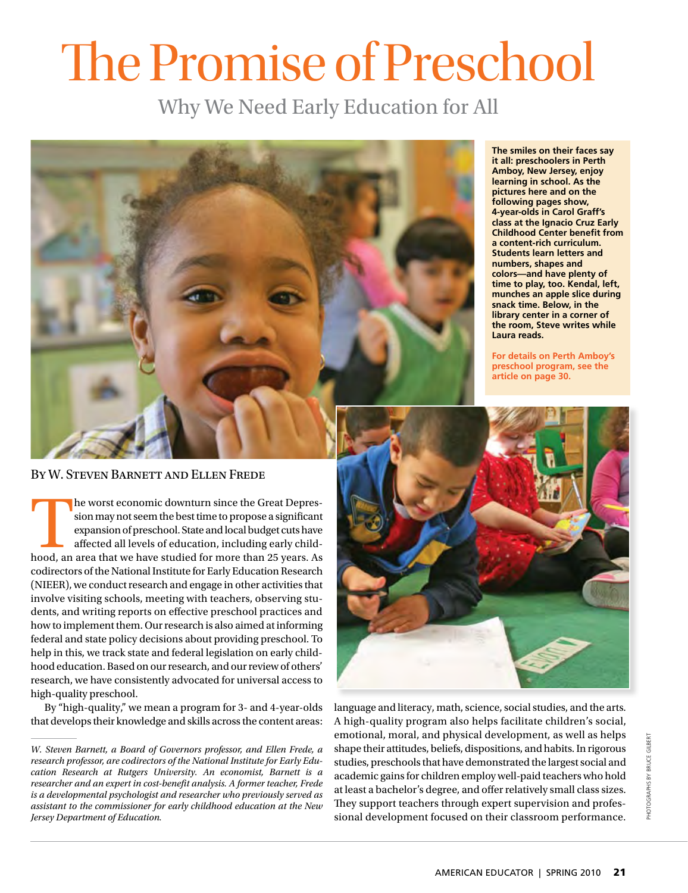# The Promise of Preschool

Why We Need Early Education for All



**The smiles on their faces say it all: preschoolers in Perth Amboy, New Jersey, enjoy learning in school. As the pictures here and on the following pages show, 4-year-olds in Carol Graff's class at the Ignacio Cruz Early Childhood Center benefit from a content-rich curriculum. Students learn letters and numbers, shapes and colors—and have plenty of time to play, too. Kendal, left, munches an apple slice during snack time. Below, in the library center in a corner of the room, Steve writes while Laura reads.**

**For details on Perth Amboy's preschool program, see the [article on page 30.](www.aft.org/pdfs/americaneducator/spring2010/Dubin.pdf)**

By W. Steven Barnett and Ellen Frede

The worst economic downturn since the Great Depres-<br>sion may not seem the best time to propose a significant<br>expansion of preschool. State and local budget cuts have<br>affected all levels of education, including early childsion may not seem the best time to propose a significant expansion of preschool. State and local budget cuts have affected all levels of education, including early childcodirectors of the National Institute for Early Education Research (NIEER), we conduct research and engage in other activities that involve visiting schools, meeting with teachers, observing students, and writing reports on effective preschool practices and how to implement them. Our research is also aimed at informing federal and state policy decisions about providing preschool. To help in this, we track state and federal legislation on early childhood education. Based on our research, and our review of others' research, we have consistently advocated for universal access to high-quality preschool.

By "high-quality," we mean a program for 3- and 4-year-olds that develops their knowledge and skills across the content areas:



language and literacy, math, science, social studies, and the arts. A high-quality program also helps facilitate children's social, emotional, moral, and physical development, as well as helps shape their attitudes, beliefs, dispositions, and habits. In rigorous studies, preschools that have demonstrated the largest social and academic gains for children employ well-paid teachers who hold at least a bachelor's degree, and offer relatively small class sizes. They support teachers through expert supervision and professional development focused on their classroom performance.

*W. Steven Barnett, a Board of Governors professor, and Ellen Frede, a research professor, are codirectors of the National Institute for Early Education Research at Rutgers University. An economist, Barnett is a researcher and an expert in cost-benefit analysis. A former teacher, Frede is a developmental psychologist and researcher who previously served as assistant to the commissioner for early childhood education at the New Jersey Department of Education.*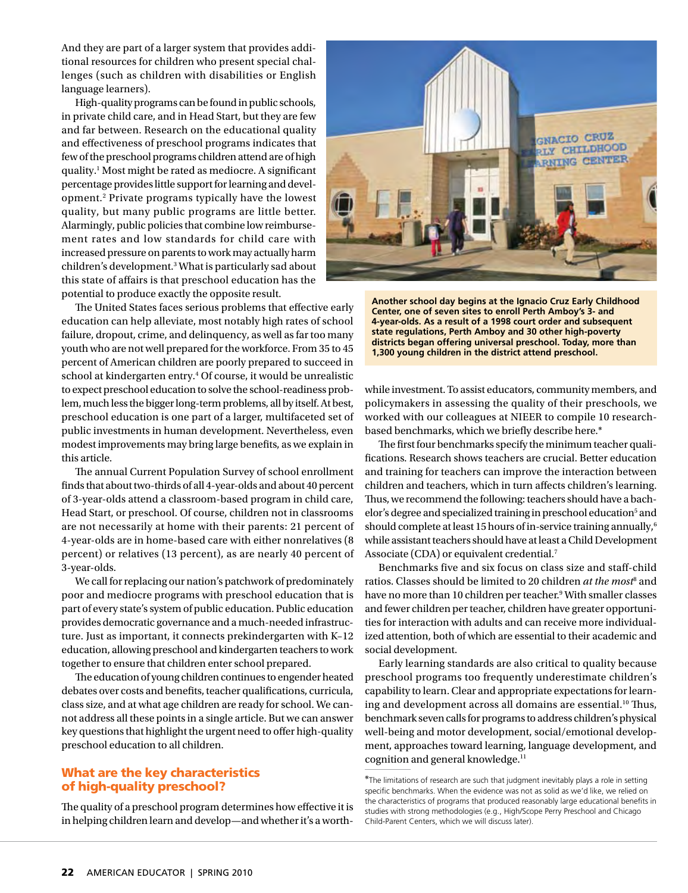And they are part of a larger system that provides additional resources for children who present special challenges (such as children with disabilities or English language learners).

High-quality programs can be found in public schools, in private child care, and in Head Start, but they are few and far between. Research on the educational quality and effectiveness of preschool programs indicates that few of the preschool programs children attend are of high quality.1 Most might be rated as mediocre. A significant percentage provides little support for learning and development.2 Private programs typically have the lowest quality, but many public programs are little better. Alarmingly, public policies that combine low reimbursement rates and low standards for child care with increased pressure on parents to work may actually harm children's development.3 What is particularly sad about this state of affairs is that preschool education has the potential to produce exactly the opposite result.

The United States faces serious problems that effective early education can help alleviate, most notably high rates of school failure, dropout, crime, and delinquency, as well as far too many youth who are not well prepared for the workforce. From 35 to 45 percent of American children are poorly prepared to succeed in school at kindergarten entry.4 Of course, it would be unrealistic to expect preschool education to solve the school-readiness problem, much less the bigger long-term problems, all by itself. At best, preschool education is one part of a larger, multifaceted set of public investments in human development. Nevertheless, even modest improvements may bring large benefits, as we explain in this article.

The annual Current Population Survey of school enrollment finds that about two-thirds of all 4-year-olds and about 40 percent of 3-year-olds attend a classroom-based program in child care, Head Start, or preschool. Of course, children not in classrooms are not necessarily at home with their parents: 21 percent of 4-year-olds are in home-based care with either nonrelatives (8 percent) or relatives (13 percent), as are nearly 40 percent of 3-year-olds.

We call for replacing our nation's patchwork of predominately poor and mediocre programs with preschool education that is part of every state's system of public education. Public education provides democratic governance and a much-needed infrastructure. Just as important, it connects prekindergarten with K–12 education, allowing preschool and kindergarten teachers to work together to ensure that children enter school prepared.

The education of young children continues to engender heated debates over costs and benefits, teacher qualifications, curricula, class size, and at what age children are ready for school. We cannot address all these points in a single article. But we can answer key questions that highlight the urgent need to offer high-quality preschool education to all children.

#### What are the key characteristics of high-quality preschool?

The quality of a preschool program determines how effective it is in helping children learn and develop—and whether it's a worth-



**Another school day begins at the Ignacio Cruz Early Childhood Center, one of seven sites to enroll Perth Amboy's 3- and 4-year-olds. As a result of a 1998 court order and subsequent state regulations, Perth Amboy and 30 other high-poverty districts began offering universal preschool. Today, more than 1,300 young children in the district attend preschool.**

while investment. To assist educators, community members, and policymakers in assessing the quality of their preschools, we worked with our colleagues at NIEER to compile 10 researchbased benchmarks, which we briefly describe here.\*

The first four benchmarks specify the minimum teacher qualifications. Research shows teachers are crucial. Better education and training for teachers can improve the interaction between children and teachers, which in turn affects children's learning. Thus, we recommend the following: teachers should have a bachelor's degree and specialized training in preschool education<sup>5</sup> and should complete at least 15 hours of in-service training annually, $6$ while assistant teachers should have at least a Child Development Associate (CDA) or equivalent credential.<sup>7</sup>

Benchmarks five and six focus on class size and staff-child ratios. Classes should be limited to 20 children *at the most<sup>8</sup>* and have no more than 10 children per teacher.<sup>9</sup> With smaller classes and fewer children per teacher, children have greater opportunities for interaction with adults and can receive more individualized attention, both of which are essential to their academic and social development.

Early learning standards are also critical to quality because preschool programs too frequently underestimate children's capability to learn. Clear and appropriate expectations for learning and development across all domains are essential.<sup>10</sup> Thus, benchmark seven calls for programs to address children's physical well-being and motor development, social/emotional development, approaches toward learning, language development, and cognition and general knowledge.<sup>11</sup>

<sup>\*</sup>The limitations of research are such that judgment inevitably plays a role in setting specific benchmarks. When the evidence was not as solid as we'd like, we relied on the characteristics of programs that produced reasonably large educational benefits in studies with strong methodologies (e.g., High/Scope Perry Preschool and Chicago Child-Parent Centers, which we will discuss later).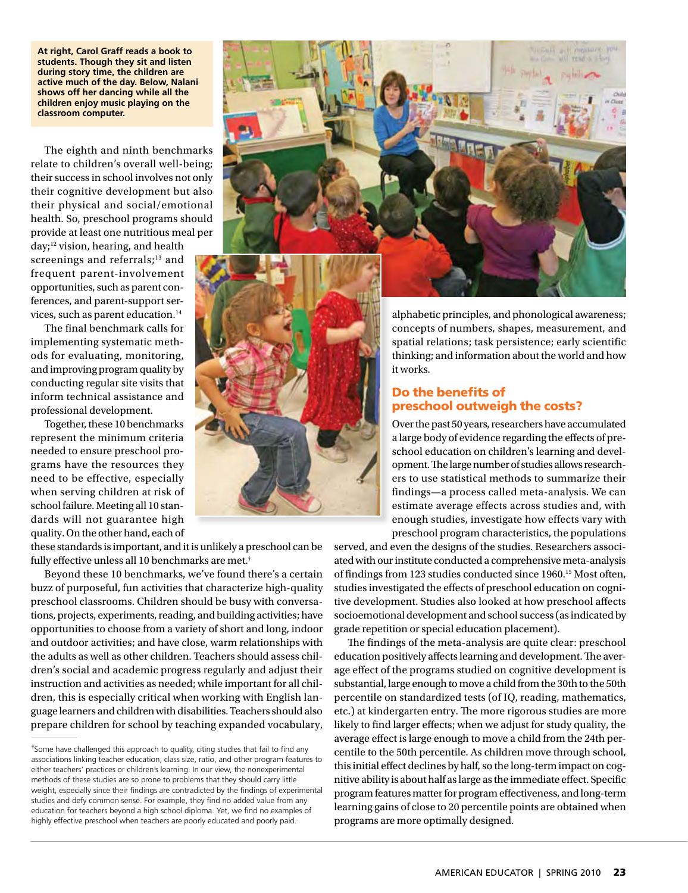**At right, Carol Graff reads a book to students. Though they sit and listen during story time, the children are active much of the day. Below, Nalani shows off her dancing while all the children enjoy music playing on the classroom computer.**

The eighth and ninth benchmarks relate to children's overall well-being; their success in school involves not only their cognitive development but also their physical and social/emotional health. So, preschool programs should provide at least one nutritious meal per

day;<sup>12</sup> vision, hearing, and health screenings and referrals;<sup>13</sup> and frequent parent-involvement opportunities, such as parent conferences, and parent-support services, such as parent education.<sup>14</sup>

The final benchmark calls for implementing systematic methods for evaluating, monitoring, and improving program quality by conducting regular site visits that inform technical assistance and professional development.

Together, these 10 benchmarks represent the minimum criteria needed to ensure preschool programs have the resources they need to be effective, especially when serving children at risk of school failure. Meeting all 10 standards will not guarantee high quality. On the other hand, each of

these standards is important, and it is unlikely a preschool can be fully effective unless all 10 benchmarks are met.†

Beyond these 10 benchmarks, we've found there's a certain buzz of purposeful, fun activities that characterize high-quality preschool classrooms. Children should be busy with conversations, projects, experiments, reading, and building activities; have opportunities to choose from a variety of short and long, indoor and outdoor activities; and have close, warm relationships with the adults as well as other children. Teachers should assess children's social and academic progress regularly and adjust their instruction and activities as needed; while important for all children, this is especially critical when working with English language learners and children with disabilities. Teachers should also prepare children for school by teaching expanded vocabulary,





alphabetic principles, and phonological awareness; concepts of numbers, shapes, measurement, and spatial relations; task persistence; early scientific thinking; and information about the world and how it works.

#### Do the benefits of preschool outweigh the costs?

Over the past 50 years, researchers have accumulated a large body of evidence regarding the effects of preschool education on children's learning and development. The large number of studies allows researchers to use statistical methods to summarize their findings—a process called meta-analysis. We can estimate average effects across studies and, with enough studies, investigate how effects vary with preschool program characteristics, the populations

served, and even the designs of the studies. Researchers associated with our institute conducted a comprehensive meta-analysis of findings from 123 studies conducted since 1960.15 Most often, studies investigated the effects of preschool education on cognitive development. Studies also looked at how preschool affects socioemotional development and school success (as indicated by grade repetition or special education placement).

The findings of the meta-analysis are quite clear: preschool education positively affects learning and development. The average effect of the programs studied on cognitive development is substantial, large enough to move a child from the 30th to the 50th percentile on standardized tests (of IQ, reading, mathematics, etc.) at kindergarten entry. The more rigorous studies are more likely to find larger effects; when we adjust for study quality, the average effect is large enough to move a child from the 24th percentile to the 50th percentile. As children move through school, this initial effect declines by half, so the long-term impact on cognitive ability is about half as large as the immediate effect. Specific program features matter for program effectiveness, and long-term learning gains of close to 20 percentile points are obtained when programs are more optimally designed.

<sup>†</sup> Some have challenged this approach to quality, citing studies that fail to find any associations linking teacher education, class size, ratio, and other program features to either teachers' practices or children's learning. In our view, the nonexperimental methods of these studies are so prone to problems that they should carry little weight, especially since their findings are contradicted by the findings of experimental studies and defy common sense. For example, they find no added value from any education for teachers beyond a high school diploma. Yet, we find no examples of highly effective preschool when teachers are poorly educated and poorly paid.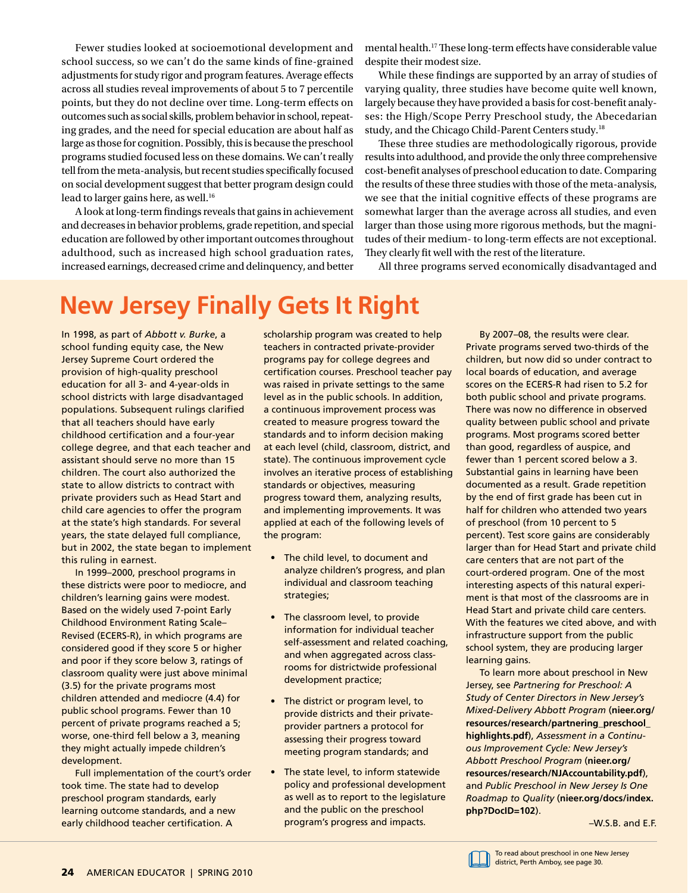Fewer studies looked at socioemotional development and school success, so we can't do the same kinds of fine-grained adjustments for study rigor and program features. Average effects across all studies reveal improvements of about 5 to 7 percentile points, but they do not decline over time. Long-term effects on outcomes such as social skills, problem behavior in school, repeating grades, and the need for special education are about half as large as those for cognition. Possibly, this is because the preschool programs studied focused less on these domains. We can't really tell from the meta-analysis, but recent studies specifically focused on social development suggest that better program design could lead to larger gains here, as well.<sup>16</sup>

A look at long-term findings reveals that gains in achievement and decreases in behavior problems, grade repetition, and special education are followed by other important outcomes throughout adulthood, such as increased high school graduation rates, increased earnings, decreased crime and delinquency, and better

mental health.17 These long-term effects have considerable value despite their modest size.

While these findings are supported by an array of studies of varying quality, three studies have become quite well known, largely because they have provided a basis for cost-benefit analyses: the High/Scope Perry Preschool study, the Abecedarian study, and the Chicago Child-Parent Centers study.18

These three studies are methodologically rigorous, provide results into adulthood, and provide the only three comprehensive cost-benefit analyses of preschool education to date. Comparing the results of these three studies with those of the meta-analysis, we see that the initial cognitive effects of these programs are somewhat larger than the average across all studies, and even larger than those using more rigorous methods, but the magnitudes of their medium- to long-term effects are not exceptional. They clearly fit well with the rest of the literature.

All three programs served economically disadvantaged and

## **New Jersey Finally Gets It Right**

In 1998, as part of *Abbott v. Burke*, a school funding equity case, the New Jersey Supreme Court ordered the provision of high-quality preschool education for all 3- and 4-year-olds in school districts with large disadvantaged populations. Subsequent rulings clarified that all teachers should have early childhood certification and a four-year college degree, and that each teacher and assistant should serve no more than 15 children. The court also authorized the state to allow districts to contract with private providers such as Head Start and child care agencies to offer the program at the state's high standards. For several years, the state delayed full compliance, but in 2002, the state began to implement this ruling in earnest.

In 1999–2000, preschool programs in these districts were poor to mediocre, and children's learning gains were modest. Based on the widely used 7-point Early Childhood Environment Rating Scale– Revised (ECERS-R), in which programs are considered good if they score 5 or higher and poor if they score below 3, ratings of classroom quality were just above minimal (3.5) for the private programs most children attended and mediocre (4.4) for public school programs. Fewer than 10 percent of private programs reached a 5; worse, one-third fell below a 3, meaning they might actually impede children's development.

Full implementation of the court's order took time. The state had to develop preschool program standards, early learning outcome standards, and a new early childhood teacher certification. A

scholarship program was created to help teachers in contracted private-provider programs pay for college degrees and certification courses. Preschool teacher pay was raised in private settings to the same level as in the public schools. In addition, a continuous improvement process was created to measure progress toward the standards and to inform decision making at each level (child, classroom, district, and state). The continuous improvement cycle involves an iterative process of establishing standards or objectives, measuring progress toward them, analyzing results, and implementing improvements. It was applied at each of the following levels of the program:

- The child level, to document and analyze children's progress, and plan individual and classroom teaching strategies;
- The classroom level, to provide information for individual teacher self-assessment and related coaching, and when aggregated across classrooms for districtwide professional development practice;
- The district or program level, to provide districts and their privateprovider partners a protocol for assessing their progress toward meeting program standards; and
- The state level, to inform statewide policy and professional development as well as to report to the legislature and the public on the preschool program's progress and impacts.

By 2007–08, the results were clear. Private programs served two-thirds of the children, but now did so under contract to local boards of education, and average scores on the ECERS-R had risen to 5.2 for both public school and private programs. There was now no difference in observed quality between public school and private programs. Most programs scored better than good, regardless of auspice, and fewer than 1 percent scored below a 3. Substantial gains in learning have been documented as a result. Grade repetition by the end of first grade has been cut in half for children who attended two years of preschool (from 10 percent to 5 percent). Test score gains are considerably larger than for Head Start and private child care centers that are not part of the court-ordered program. One of the most interesting aspects of this natural experiment is that most of the classrooms are in Head Start and private child care centers. With the features we cited above, and with infrastructure support from the public school system, they are producing larger learning gains.

To learn more about preschool in New Jersey, see *Partnering for Preschool: A Study of Center Directors in New Jersey's Mixed-Delivery Abbott Program* (**nieer.org/ [resources/research/partnering\\_preschool\\_](http://nieer.org/resources/research/partnering_preschool_highlights.pdf) highlights.pdf**), *Assessment in a Continuous Improvement Cycle: New Jersey's Abbott Preschool Program* (**nieer.org/ [resources/research/NJAccountability.pdf](www.nieer.org/resources/research/NJAccountability.pdf)**), and *Public Preschool in New Jersey Is One Roadmap to Quality* (**[nieer.org/docs/index.](www.nieer.org/docs/index.php?DocID=102) php?DocID=102**).

 $-W$  S.B. and  $EF$ 

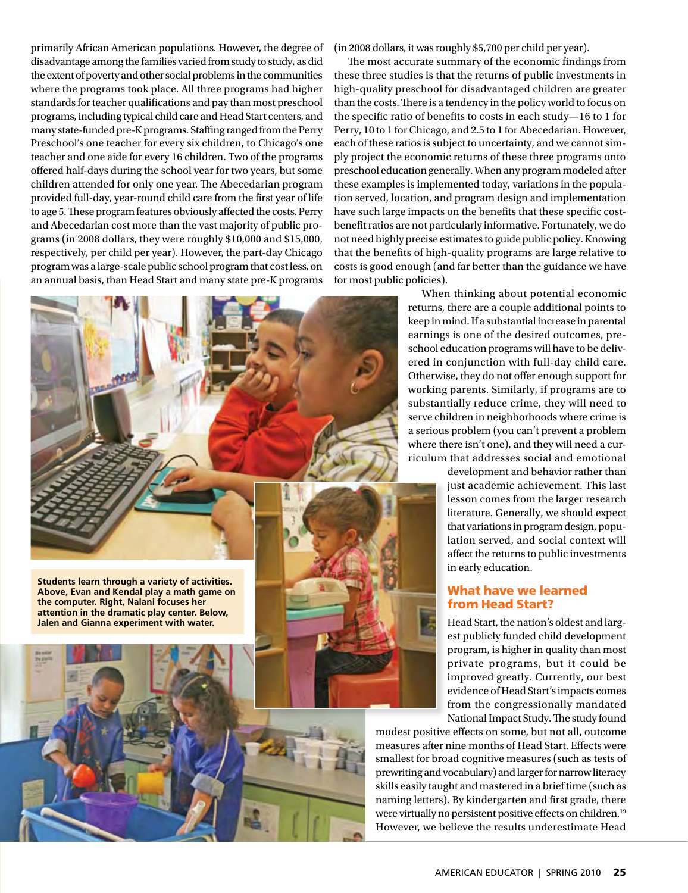primarily African American populations. However, the degree of disadvantage among the families varied from study to study, as did the extent of poverty and other social problems in the communities where the programs took place. All three programs had higher standards for teacher qualifications and pay than most preschool programs, including typical child care and Head Start centers, and many state-funded pre-K programs. Staffing ranged from the Perry Preschool's one teacher for every six children, to Chicago's one teacher and one aide for every 16 children. Two of the programs offered half-days during the school year for two years, but some children attended for only one year. The Abecedarian program provided full-day, year-round child care from the first year of life to age 5. These program features obviously affected the costs. Perry and Abecedarian cost more than the vast majority of public programs (in 2008 dollars, they were roughly \$10,000 and \$15,000, respectively, per child per year). However, the part-day Chicago program was a large-scale public school program that cost less, on an annual basis, than Head Start and many state pre-K programs



(in 2008 dollars, it was roughly \$5,700 per child per year).

The most accurate summary of the economic findings from these three studies is that the returns of public investments in high-quality preschool for disadvantaged children are greater than the costs. There is a tendency in the policy world to focus on the specific ratio of benefits to costs in each study—16 to 1 for Perry, 10 to 1 for Chicago, and 2.5 to 1 for Abecedarian. However, each of these ratios is subject to uncertainty, and we cannot simply project the economic returns of these three programs onto preschool education generally. When any program modeled after these examples is implemented today, variations in the population served, location, and program design and implementation have such large impacts on the benefits that these specific costbenefit ratios are not particularly informative. Fortunately, we do not need highly precise estimates to guide public policy. Knowing that the benefits of high-quality programs are large relative to costs is good enough (and far better than the guidance we have for most public policies).

When thinking about potential economic returns, there are a couple additional points to keep in mind. If a substantial increase in parental earnings is one of the desired outcomes, preschool education programs will have to be delivered in conjunction with full-day child care. Otherwise, they do not offer enough support for working parents. Similarly, if programs are to substantially reduce crime, they will need to serve children in neighborhoods where crime is a serious problem (you can't prevent a problem where there isn't one), and they will need a curriculum that addresses social and emotional

development and behavior rather than just academic achievement. This last lesson comes from the larger research literature. Generally, we should expect that variations in program design, population served, and social context will affect the returns to public investments in early education.

#### What have we learned from Head Start?

Head Start, the nation's oldest and largest publicly funded child development program, is higher in quality than most private programs, but it could be improved greatly. Currently, our best evidence of Head Start's impacts comes from the congressionally mandated National Impact Study. The study found

modest positive effects on some, but not all, outcome measures after nine months of Head Start. Effects were smallest for broad cognitive measures (such as tests of prewriting and vocabulary) and larger for narrow literacy skills easily taught and mastered in a brief time (such as naming letters). By kindergarten and first grade, there were virtually no persistent positive effects on children.<sup>19</sup> However, we believe the results underestimate Head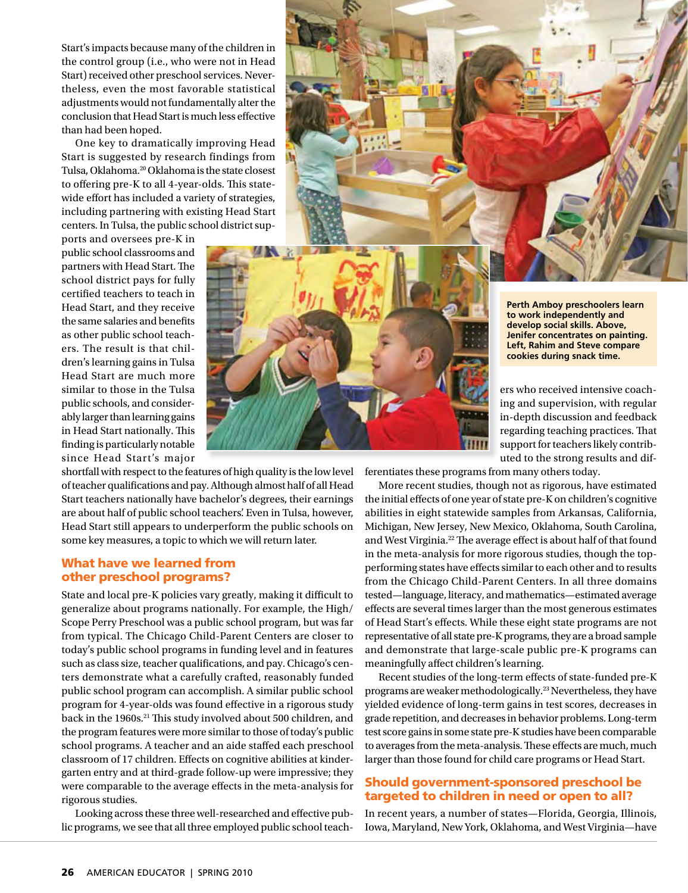Start's impacts because many of the children in the control group (i.e., who were not in Head Start) received other preschool services. Nevertheless, even the most favorable statistical adjustments would not fundamentally alter the conclusion that Head Start is much less effective than had been hoped.

One key to dramatically improving Head Start is suggested by research findings from Tulsa, Oklahoma.20 Oklahoma is the state closest to offering pre-K to all 4-year-olds. This statewide effort has included a variety of strategies, including partnering with existing Head Start centers. In Tulsa, the public school district sup-

ports and oversees pre-K in public school classrooms and partners with Head Start. The school district pays for fully certified teachers to teach in Head Start, and they receive the same salaries and benefits as other public school teachers. The result is that children's learning gains in Tulsa Head Start are much more similar to those in the Tulsa public schools, and considerably larger than learning gains in Head Start nationally. This finding is particularly notable since Head Start's major



shortfall with respect to the features of high quality is the low level of teacher qualifications and pay. Although almost half of all Head Start teachers nationally have bachelor's degrees, their earnings are about half of public school teachers'. Even in Tulsa, however, Head Start still appears to underperform the public schools on some key measures, a topic to which we will return later.

#### What have we learned from other preschool programs?

State and local pre-K policies vary greatly, making it difficult to generalize about programs nationally. For example, the High/ Scope Perry Preschool was a public school program, but was far from typical. The Chicago Child-Parent Centers are closer to today's public school programs in funding level and in features such as class size, teacher qualifications, and pay. Chicago's centers demonstrate what a carefully crafted, reasonably funded public school program can accomplish. A similar public school program for 4-year-olds was found effective in a rigorous study back in the 1960s.<sup>21</sup> This study involved about 500 children, and the program features were more similar to those of today's public school programs. A teacher and an aide staffed each preschool classroom of 17 children. Effects on cognitive abilities at kindergarten entry and at third-grade follow-up were impressive; they were comparable to the average effects in the meta-analysis for rigorous studies.

Looking across these three well-researched and effective public programs, we see that all three employed public school teach**Perth Amboy preschoolers learn to work independently and develop social skills. Above, Jenifer concentrates on painting. Left, Rahim and Steve compare cookies during snack time.**

ers who received intensive coaching and supervision, with regular in-depth discussion and feedback regarding teaching practices. That support for teachers likely contributed to the strong results and dif-

ferentiates these programs from many others today.

More recent studies, though not as rigorous, have estimated the initial effects of one year of state pre-K on children's cognitive abilities in eight statewide samples from Arkansas, California, Michigan, New Jersey, New Mexico, Oklahoma, South Carolina, and West Virginia.22 The average effect is about half of that found in the meta-analysis for more rigorous studies, though the topperforming states have effects similar to each other and to results from the Chicago Child-Parent Centers. In all three domains tested—language, literacy, and mathematics—estimated average effects are several times larger than the most generous estimates of Head Start's effects. While these eight state programs are not representative of all state pre-K programs, they are a broad sample and demonstrate that large-scale public pre-K programs can meaningfully affect children's learning.

Recent studies of the long-term effects of state-funded pre-K programs are weaker methodologically.23 Nevertheless, they have yielded evidence of long-term gains in test scores, decreases in grade repetition, and decreases in behavior problems. Long-term test score gains in some state pre-K studies have been comparable to averages from the meta-analysis. These effects are much, much larger than those found for child care programs or Head Start.

#### Should government-sponsored preschool be targeted to children in need or open to all?

In recent years, a number of states—Florida, Georgia, Illinois, Iowa, Maryland, New York, Oklahoma, and West Virginia—have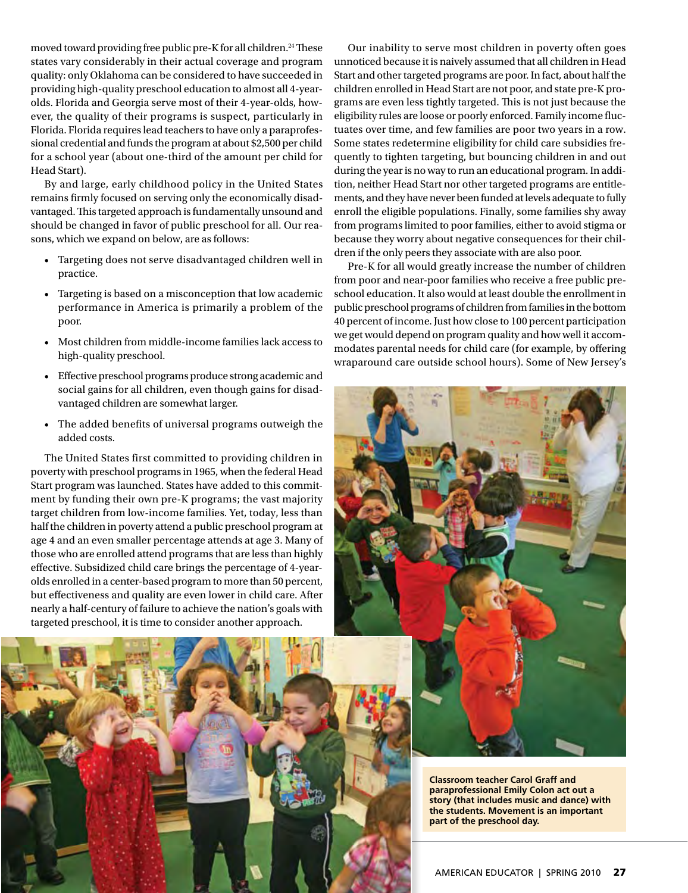moved toward providing free public pre-K for all children.<sup>24</sup> These states vary considerably in their actual coverage and program quality: only Oklahoma can be considered to have succeeded in providing high-quality preschool education to almost all 4-yearolds. Florida and Georgia serve most of their 4-year-olds, however, the quality of their programs is suspect, particularly in Florida. Florida requires lead teachers to have only a paraprofessional credential and funds the program at about \$2,500 per child for a school year (about one-third of the amount per child for Head Start).

By and large, early childhood policy in the United States remains firmly focused on serving only the economically disadvantaged. This targeted approach is fundamentally unsound and should be changed in favor of public preschool for all. Our reasons, which we expand on below, are as follows:

- • Targeting does not serve disadvantaged children well in practice.
- • Targeting is based on a misconception that low academic performance in America is primarily a problem of the poor.
- • Most children from middle-income families lack access to high-quality preschool.
- • Effective preschool programs produce strong academic and social gains for all children, even though gains for disadvantaged children are somewhat larger.
- • The added benefits of universal programs outweigh the added costs.

The United States first committed to providing children in poverty with preschool programs in 1965, when the federal Head Start program was launched. States have added to this commitment by funding their own pre-K programs; the vast majority target children from low-income families. Yet, today, less than half the children in poverty attend a public preschool program at age 4 and an even smaller percentage attends at age 3. Many of those who are enrolled attend programs that are less than highly effective. Subsidized child care brings the percentage of 4-yearolds enrolled in a center-based program to more than 50 percent, but effectiveness and quality are even lower in child care. After nearly a half-century of failure to achieve the nation's goals with targeted preschool, it is time to consider another approach.



Our inability to serve most children in poverty often goes unnoticed because it is naively assumed that all children in Head Start and other targeted programs are poor. In fact, about half the children enrolled in Head Start are not poor, and state pre-K programs are even less tightly targeted. This is not just because the eligibility rules are loose or poorly enforced. Family income fluctuates over time, and few families are poor two years in a row. Some states redetermine eligibility for child care subsidies frequently to tighten targeting, but bouncing children in and out during the year is no way to run an educational program. In addition, neither Head Start nor other targeted programs are entitlements, and they have never been funded at levels adequate to fully enroll the eligible populations. Finally, some families shy away from programs limited to poor families, either to avoid stigma or because they worry about negative consequences for their children if the only peers they associate with are also poor.

Pre-K for all would greatly increase the number of children from poor and near-poor families who receive a free public preschool education. It also would at least double the enrollment in public preschool programs of children from families in the bottom 40 percent of income. Just how close to 100 percent participation we get would depend on program quality and how well it accommodates parental needs for child care (for example, by offering wraparound care outside school hours). Some of New Jersey's



**Classroom teacher Carol Graff and paraprofessional Emily Colon act out a story (that includes music and dance) with the students. Movement is an important part of the preschool day.**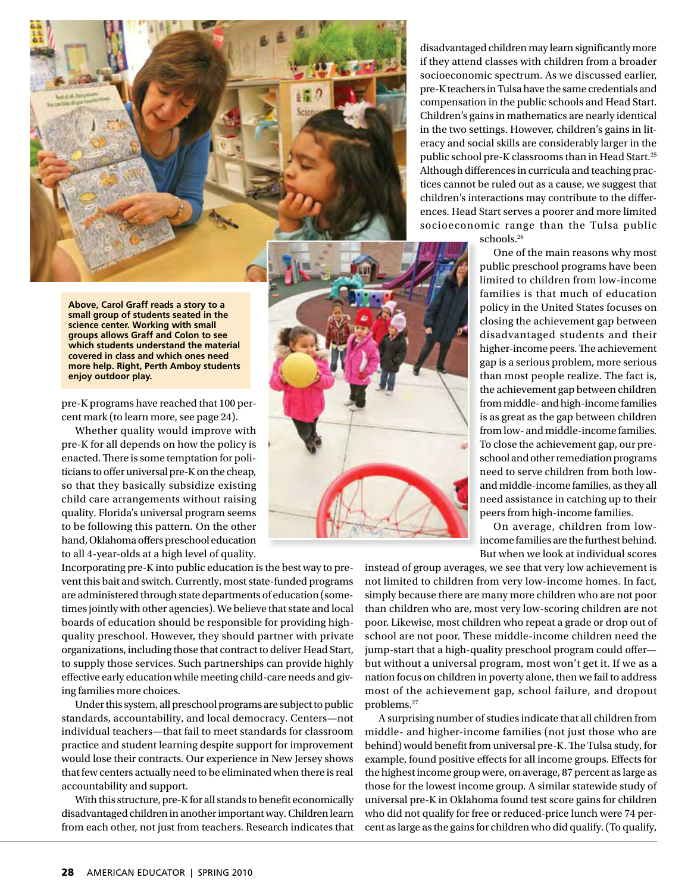**Above, Carol Graff reads a story to a small group of students seated in the science center. Working with small groups allows Graff and Colon to see which students understand the material covered in class and which ones need more help. Right, Perth Amboy students enjoy outdoor play.**

pre-K programs have reached that 100 percent mark (to learn more, see page 24).

Whether quality would improve with pre-K for all depends on how the policy is enacted. There is some temptation for politicians to offer universal pre-K on the cheap, so that they basically subsidize existing child care arrangements without raising quality. Florida's universal program seems to be following this pattern. On the other hand, Oklahoma offers preschool education to all 4-year-olds at a high level of quality.

Incorporating pre-K into public education is the best way to prevent this bait and switch. Currently, most state-funded programs are administered through state departments of education (sometimes jointly with other agencies). We believe that state and local boards of education should be responsible for providing highquality preschool. However, they should partner with private organizations, including those that contract to deliver Head Start, to supply those services. Such partnerships can provide highly effective early education while meeting child-care needs and giving families more choices.

Under this system, all preschool programs are subject to public standards, accountability, and local democracy. Centers—not individual teachers—that fail to meet standards for classroom practice and student learning despite support for improvement would lose their contracts. Our experience in New Jersey shows that few centers actually need to be eliminated when there is real accountability and support.

With this structure, pre-K for all stands to benefit economically disadvantaged children in another important way. Children learn from each other, not just from teachers. Research indicates that

disadvantaged children may learn significantly more if they attend classes with children from a broader socioeconomic spectrum. As we discussed earlier, pre-K teachers in Tulsa have the same credentials and compensation in the public schools and Head Start. Children's gains in mathematics are nearly identical in the two settings. However, children's gains in literacy and social skills are considerably larger in the public school pre-K classrooms than in Head Start.25 Although differences in curricula and teaching practices cannot be ruled out as a cause, we suggest that children's interactions may contribute to the differences. Head Start serves a poorer and more limited socioeconomic range than the Tulsa public

schools.<sup>26</sup>

One of the main reasons why most public preschool programs have been limited to children from low-income families is that much of education policy in the United States focuses on closing the achievement gap between disadvantaged students and their higher-income peers. The achievement gap is a serious problem, more serious than most people realize. The fact is, the achievement gap between children from middle- and high-income families is as great as the gap between children from low- and middle-income families. To close the achievement gap, our preschool and other remediation programs need to serve children from both lowand middle-income families, as they all need assistance in catching up to their peers from high-income families.

On average, children from lowincome families are the furthest behind. But when we look at individual scores

instead of group averages, we see that very low achievement is not limited to children from very low-income homes. In fact, simply because there are many more children who are not poor than children who are, most very low-scoring children are not poor. Likewise, most children who repeat a grade or drop out of school are not poor. These middle-income children need the jump-start that a high-quality preschool program could offer but without a universal program, most won't get it. If we as a nation focus on children in poverty alone, then we fail to address most of the achievement gap, school failure, and dropout problems.27

A surprising number of studies indicate that all children from middle- and higher-income families (not just those who are behind) would benefit from universal pre-K. The Tulsa study, for example, found positive effects for all income groups. Effects for the highest income group were, on average, 87 percent as large as those for the lowest income group. A similar statewide study of universal pre-K in Oklahoma found test score gains for children who did not qualify for free or reduced-price lunch were 74 percent as large as the gains for children who did qualify. (To qualify,

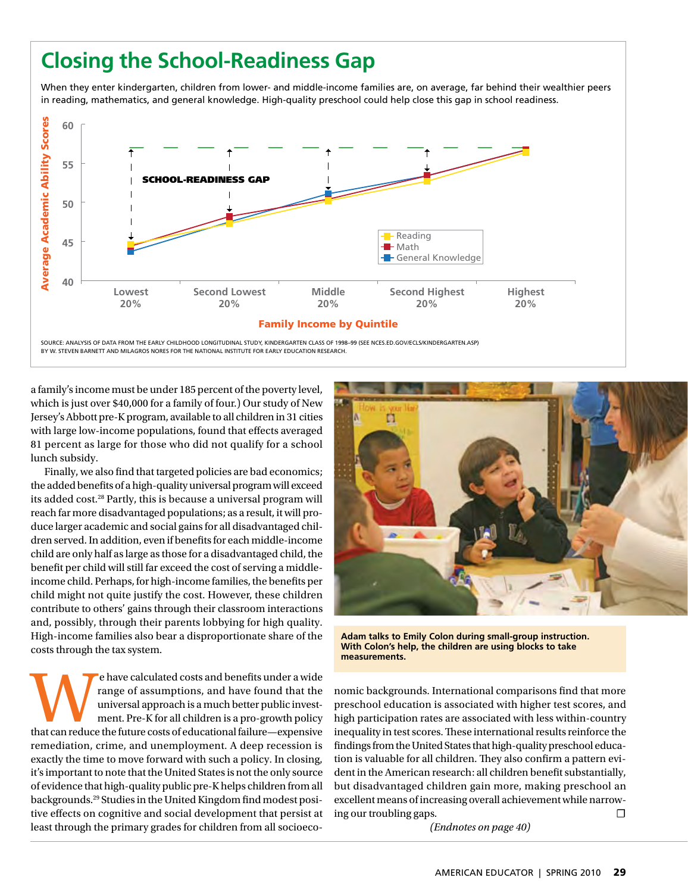### **Closing the School-Readiness Gap**

When they enter kindergarten, children from lower- and middle-income families are, on average, far behind their wealthier peers in reading, mathematics, and general knowledge. High-quality preschool could help close this gap in school readiness.



a family's income must be under 185 percent of the poverty level, which is just over \$40,000 for a family of four.) Our study of New Jersey's Abbott pre-K program, available to all children in 31 cities with large low-income populations, found that effects averaged 81 percent as large for those who did not qualify for a school lunch subsidy.

Finally, we also find that targeted policies are bad economics; the added benefits of a high-quality universal program will exceed its added cost.28 Partly, this is because a universal program will reach far more disadvantaged populations; as a result, it will produce larger academic and social gains for all disadvantaged children served. In addition, even if benefits for each middle-income child are only half as large as those for a disadvantaged child, the benefit per child will still far exceed the cost of serving a middleincome child. Perhaps, for high-income families, the benefits per child might not quite justify the cost. However, these children contribute to others' gains through their classroom interactions and, possibly, through their parents lobbying for high quality. High-income families also bear a disproportionate share of the costs through the tax system.

e have calculated costs and benefits under a wide<br>
that can reduce of assumptions, and have found that the<br>
universal approach is a much better public invest-<br>
ment. Pre-K for all children is a pro-growth policy<br>
that can range of assumptions, and have found that the universal approach is a much better public investment. Pre-K for all children is a pro-growth policy remediation, crime, and unemployment. A deep recession is exactly the time to move forward with such a policy. In closing, it's important to note that the United States is not the only source of evidence that high-quality public pre-K helps children from all backgrounds.29 Studies in the United Kingdom find modest positive effects on cognitive and social development that persist at least through the primary grades for children from all socioeco-



**Adam talks to Emily Colon during small-group instruction. With Colon's help, the children are using blocks to take measurements.**

nomic backgrounds. International comparisons find that more preschool education is associated with higher test scores, and high participation rates are associated with less within-country inequality in test scores. These international results reinforce the findings from the United States that high-quality preschool education is valuable for all children. They also confirm a pattern evident in the American research: all children benefit substantially, but disadvantaged children gain more, making preschool an excellent means of increasing overall achievement while narrowing our troubling gaps.  $\Box$ 

*(Endnotes on page 40)*